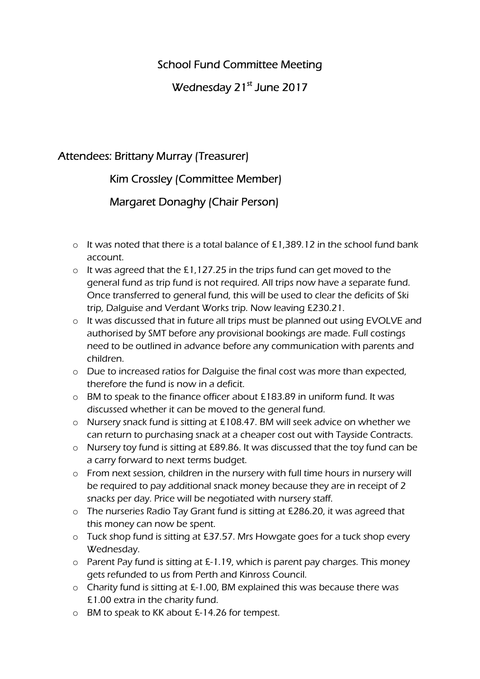## School Fund Committee Meeting

# Wednesday 21<sup>st</sup> June 2017

#### Attendees: Brittany Murray (Treasurer)

## Kim Crossley (Committee Member)

## Margaret Donaghy (Chair Person)

- o It was noted that there is a total balance of £1,389.12 in the school fund bank account.
- o It was agreed that the £1,127.25 in the trips fund can get moved to the general fund as trip fund is not required. All trips now have a separate fund. Once transferred to general fund, this will be used to clear the deficits of Ski trip, Dalguise and Verdant Works trip. Now leaving £230.21.
- o It was discussed that in future all trips must be planned out using EVOLVE and authorised by SMT before any provisional bookings are made. Full costings need to be outlined in advance before any communication with parents and children.
- o Due to increased ratios for Dalguise the final cost was more than expected, therefore the fund is now in a deficit.
- o BM to speak to the finance officer about £183.89 in uniform fund. It was discussed whether it can be moved to the general fund.
- o Nursery snack fund is sitting at £108.47. BM will seek advice on whether we can return to purchasing snack at a cheaper cost out with Tayside Contracts.
- o Nursery toy fund is sitting at £89.86. It was discussed that the toy fund can be a carry forward to next terms budget.
- o From next session, children in the nursery with full time hours in nursery will be required to pay additional snack money because they are in receipt of 2 snacks per day. Price will be negotiated with nursery staff.
- o The nurseries Radio Tay Grant fund is sitting at £286.20, it was agreed that this money can now be spent.
- o Tuck shop fund is sitting at £37.57. Mrs Howgate goes for a tuck shop every Wednesday.
- o Parent Pay fund is sitting at £-1.19, which is parent pay charges. This money gets refunded to us from Perth and Kinross Council.
- o Charity fund is sitting at £-1.00, BM explained this was because there was £1.00 extra in the charity fund.
- o BM to speak to KK about £-14.26 for tempest.